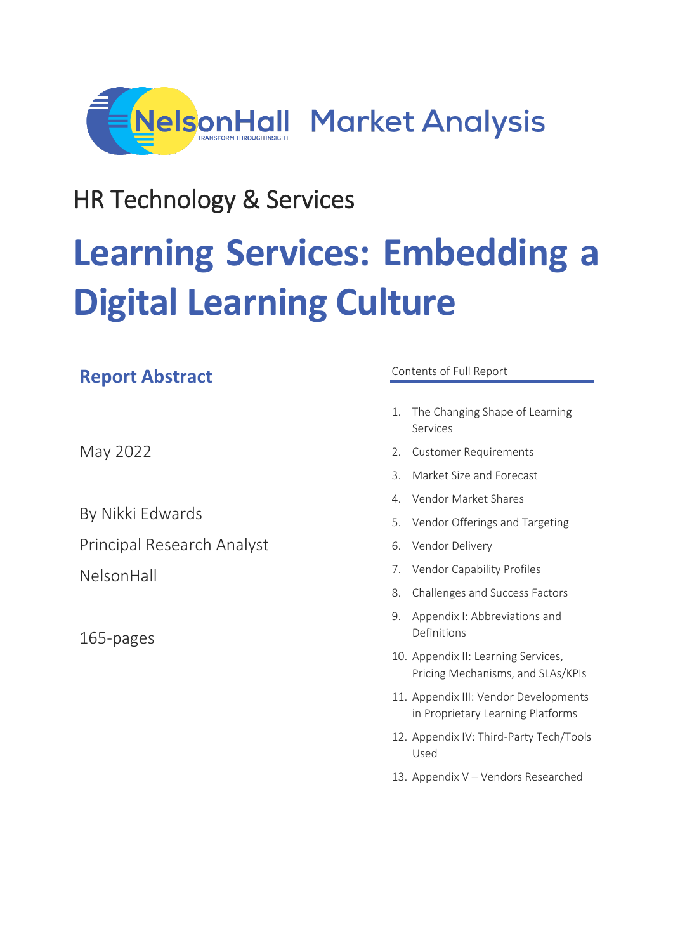

## HR Technology & Services

# **Learning Services: Embedding a Digital Learning Culture**

## **Report Abstract**

May 2022

By Nikki Edwards Principal Research Analyst NelsonHall

165-pages

#### Contents of Full Report

- 1. The Changing Shape of Learning Services
- 2. Customer Requirements
- 3. Market Size and Forecast
- 4. Vendor Market Shares
- 5. Vendor Offerings and Targeting
- 6. Vendor Delivery
- 7. Vendor Capability Profiles
- 8. Challenges and Success Factors
- 9. Appendix I: Abbreviations and Definitions
- 10. Appendix II: Learning Services, Pricing Mechanisms, and SLAs/KPIs
- 11. Appendix III: Vendor Developments in Proprietary Learning Platforms
- 12. Appendix IV: Third-Party Tech/Tools Used
- 13. Appendix V Vendors Researched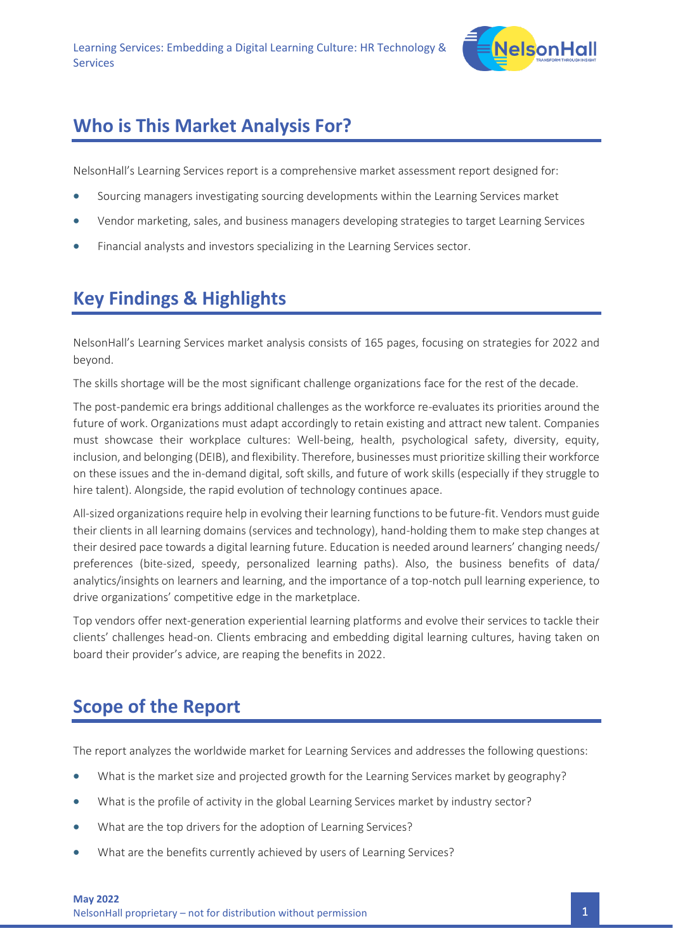

## **Who is This Market Analysis For?**

NelsonHall's Learning Services report is a comprehensive market assessment report designed for:

- Sourcing managers investigating sourcing developments within the Learning Services market
- Vendor marketing, sales, and business managers developing strategies to target Learning Services
- Financial analysts and investors specializing in the Learning Services sector.

## **Key Findings & Highlights**

NelsonHall's Learning Services market analysis consists of 165 pages, focusing on strategies for 2022 and beyond.

The skills shortage will be the most significant challenge organizations face for the rest of the decade.

The post-pandemic era brings additional challenges as the workforce re-evaluates its priorities around the future of work. Organizations must adapt accordingly to retain existing and attract new talent. Companies must showcase their workplace cultures: Well-being, health, psychological safety, diversity, equity, inclusion, and belonging (DEIB), and flexibility. Therefore, businesses must prioritize skilling their workforce on these issues and the in-demand digital, soft skills, and future of work skills (especially if they struggle to hire talent). Alongside, the rapid evolution of technology continues apace.

All-sized organizations require help in evolving their learning functions to be future-fit. Vendors must guide their clients in all learning domains (services and technology), hand-holding them to make step changes at their desired pace towards a digital learning future. Education is needed around learners' changing needs/ preferences (bite-sized, speedy, personalized learning paths). Also, the business benefits of data/ analytics/insights on learners and learning, and the importance of a top-notch pull learning experience, to drive organizations' competitive edge in the marketplace.

Top vendors offer next-generation experiential learning platforms and evolve their services to tackle their clients' challenges head-on. Clients embracing and embedding digital learning cultures, having taken on board their provider's advice, are reaping the benefits in 2022.

## **Scope of the Report**

The report analyzes the worldwide market for Learning Services and addresses the following questions:

- What is the market size and projected growth for the Learning Services market by geography?
- What is the profile of activity in the global Learning Services market by industry sector?
- What are the top drivers for the adoption of Learning Services?
- What are the benefits currently achieved by users of Learning Services?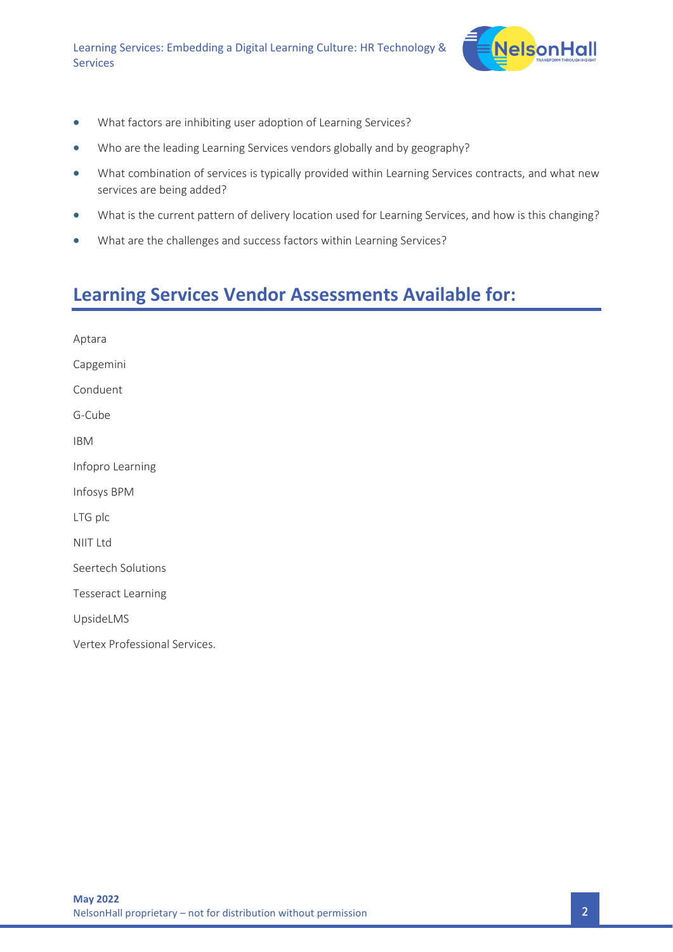

- What factors are inhibiting user adoption of Learning Services?
- Who are the leading Learning Services vendors globally and by geography?
- What combination of services is typically provided within Learning Services contracts, and what new services are being added?
- What is the current pattern of delivery location used for Learning Services, and how is this changing?
- What are the challenges and success factors within Learning Services?

## **Learning Services Vendor Assessments Available for:**

| Aptara                        |
|-------------------------------|
| Capgemini                     |
| Conduent                      |
| G-Cube                        |
| <b>IBM</b>                    |
| Infopro Learning              |
| Infosys BPM                   |
| LTG plc                       |
| <b>NIIT Ltd</b>               |
| Seertech Solutions            |
| <b>Tesseract Learning</b>     |
| UpsideLMS                     |
| Vertex Professional Services. |